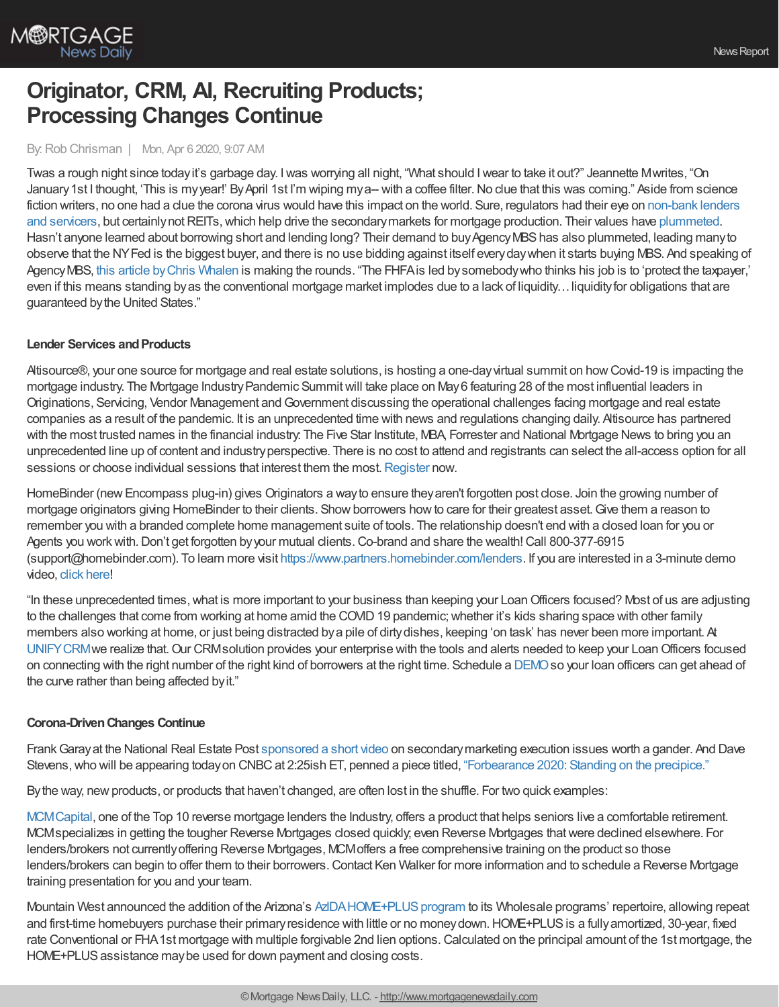

# **Originator, CRM, AI, Recruiting Products; Processing Changes Continue**

### By: Rob Chrisman | Mon, Apr 6 2020, 9:07 AM

Twas a rough night since todayit's garbage day. Iwas worrying all night, "What should Iwear to take it out?" Jeannette Mwrites, "On January 1st I thought, 'This is my year!' By April 1st I'm wiping my a-- with a coffee filter. No clue that this was coming." Aside from science fiction writers, no one had a clue the corona virus would have this impact on the world. Sure, regulators had their eye on non-bank lenders and servicers, but certainly not REITs, which help drive the secondary markets for mortgage production. Their values have [plummeted.](https://www.fool.com/investing/2020/04/03/heres-why-mortgage-reits-are-plunging-on-friday.aspx) Hasn't anyone learned about borrowing short and lending long? Their demand to buy Agency MBS has also plummeted, leading many to observe that the NYFed is the biggest buyer, and there is no use bidding against itself everydaywhen it starts buying MBS. And speaking of AgencyMBS, this article [byChris](https://www.theinstitutionalriskanalyst.com/post/calabria-s-fhfa-fans-the-fires-of-contagion) Whalen is making the rounds. "The FHFAis led bysomebodywho thinks his job is to 'protect the taxpayer,' even if this means standing by as the conventional mortgage market implodes due to a lack of liquidity... liquidity for obligations that are guaranteed bythe United States."

#### **Lender Services and Products**

Altisource®, your one source for mortgage and real estate solutions, is hosting a one-dayvirtual summit on howCovid-19 is impacting the mortgage industry. The Mortgage Industry Pandemic Summit will take place on May 6 featuring 28 of the most influential leaders in Originations, Servicing, Vendor Management andGovernment discussing the operational challenges facing mortgage and real estate companies as a result of the pandemic. It is an unprecedented time with news and regulations changing daily. Altisource has partnered with the most trusted names in the financial industry: The Five Star Institute, MBA, Forrester and National Mortgage News to bring you an unprecedented line up of content and industryperspective. There is no cost to attend and registrants can select the all-access option for all sessions or choose individual sessions that interest them the most. [Register](https://pages.altisource.com/MIPSummit-RobChrisman.html) now.

HomeBinder (new Encompass plug-in) gives Originators a way to ensure they aren't forgotten post close. Join the growing number of mortgage originators giving HomeBinder to their clients. Show borrowers how to care for their greatest asset. Give them a reason to remember you with a branded complete home management suite of tools. The relationship doesn't end with a closed loan for you or Agents you workwith.Don't get forgotten byyour mutual clients.Co-brand and share the wealth!Call 800-377-6915 (support@homebinder.com). To learn more visit <https://www.partners.homebinder.com/lenders>. If you are interested in a 3-minute demo video, click [here](https://vimeo.com/382646523)!

"In these unprecedented times,what is more important to your business than keeping your LoanOfficers focused? Most of us are adjusting to the challenges that come from working at home amid the COVID 19 pandemic; whether it's kids sharing space with other family members also working at home, or just being distracted bya pile of dirtydishes, keeping 'on task' has never been more important. At [UNIFYCRM](https://unifycrm.com/)we realize that.Our CRMsolution provides your enterprise with the tools and alerts needed to keep your LoanOfficers focused on connecting with the right number of the right kind of borrowers at the right time. Schedule a [DEMO](http://unifycrm.com/contact)so your loan officers can get ahead of the curve rather than being affected byit."

### **Corona-DrivenChanges Continue**

FrankGarayat the National Real Estate Post [sponsored](https://thenationalrealestatepost.com/rob-chrisman-a-lesson-in-execution/) a short video on secondarymarketing execution issues worth a gander. And Dave Stevens, who will be appearing today on CNBC at 2:25ish ET, penned a piece titled, ["Forbearance](https://www.housingwire.com/articles/pulse-forbearance-2020-standing-on-the-precipice/) 2020: Standing on the precipice."

By the way, new products, or products that haven't changed, are often lost in the shuffle. For two quick examples:

[MCMCapital,](https://mcmcapitalsolutions.com/reverse-mortgages/) one of the Top 10 reverse mortgage lenders the Industry, offers a product that helps seniors live a comfortable retirement. MCMspecializes in getting the tougher Reverse Mortgages closed quickly; even Reverse Mortgages thatwere declined elsewhere. For lenders/brokers not currentlyoffering Reverse Mortgages, MCMoffers a free comprehensive training on the product so those lenders/brokers can begin to offer them to their borrowers.Contact Ken Walker for more information and to schedule a Reverse Mortgage training presentation for you and your team.

Mountain West announced the addition of the Arizona's AzIDA HOME+PLUS program to its Wholesale programs' repertoire, allowing repeat and first-time homebuyers purchase their primary residence with little or no money down. HOME+PLUS is a fully amortized, 30-year, fixed rate Conventional or FHA1st mortgage with multiple forgivable 2nd lien options.Calculated on the principal amount of the 1st mortgage, the HOME+PLUS assistance may be used for down payment and closing costs.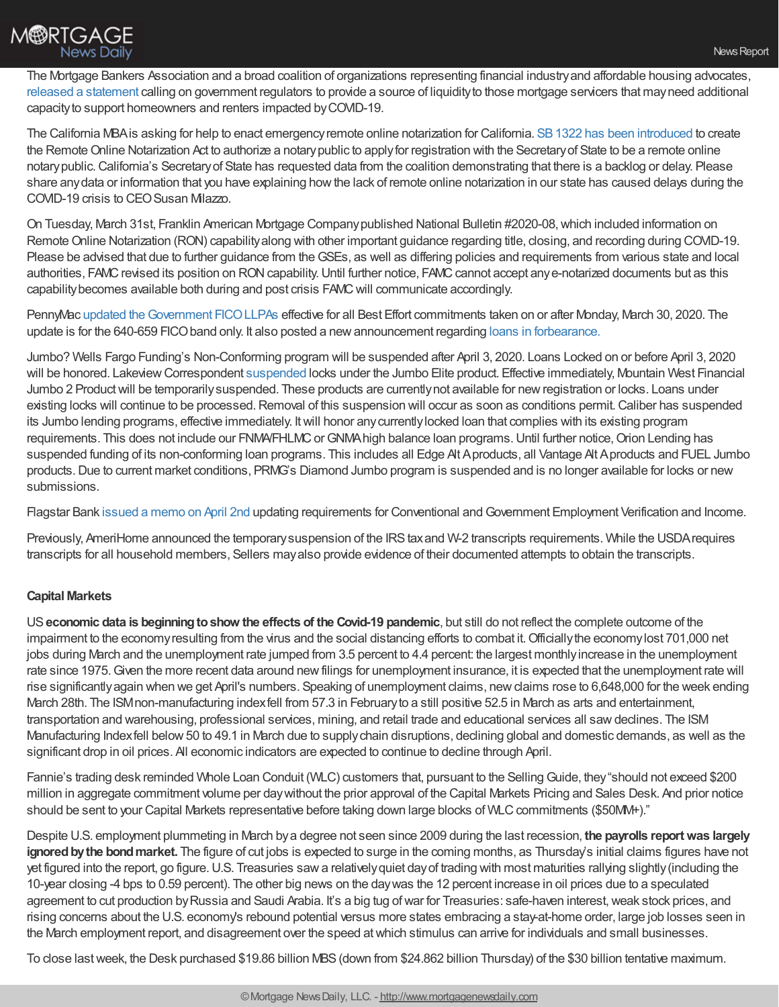

The Mortgage Bankers Association and a broad coalition of organizations representing financial industryand affordable housing advocates, released a [statement](https://mba-pa.informz.net/informzdataservice/onlineversion/ind/bWFpbGluZ2luc3RhbmNlaWQ9Nzg3NTc1NSZzdWJzY3JpYmVyaWQ9OTEyMDYwMDc4) calling on government regulators to provide a source of liquidityto those mortgage servicers that mayneed additional capacityto support homeowners and renters impacted byCOVID-19.

The California MBAis asking for help to enact emergencyremote online notarization for California. SB1322 has been [introduced](https://www.cmba.com/sb_1322_98_a_bill/) to create the Remote Online Notarization Act to authorize a notary public to apply for registration with the Secretary of State to be a remote online notary public. California's Secretary of State has requested data from the coalition demonstrating that there is a backlog or delay. Please share anydata or information that you have explaining howthe lack of remote online notarization in our state has caused delays during the COVID-19 crisis to CEO Susan Milazzo.

On Tuesday, March 31st, Franklin American Mortgage Companypublished National Bulletin #2020-08,which included information on Remote Online Notarization (RON) capability along with other important guidance regarding title, closing, and recording during COVID-19. Please be advised that due to further guidance from the GSEs, as well as differing policies and requirements from various state and local authorities, FAMC revised its position on RON capability. Until further notice, FAMC cannot accept any e-notarized documents but as this capabilitybecomes available both during and post crisis FAMCwill communicate accordingly.

PennyMac updated the Government FICO LLPAs effective for all Best Effort commitments taken on or after Monday, March 30, 2020. The update is for the 640-659 FICOband only. It also posted a newannouncement regarding loans in [forbearance.](https://www.gopennymac.com/announcements/20-22-announcement-04-03-2020)

Jumbo? Wells Fargo Funding's Non-Conforming program will be suspended after April 3, 2020. Loans Locked on or before April 3, 2020 will be honored. Lakeview Correspondent [suspended](https://files.constantcontact.com/04292f09501/192cb472-9ff8-4a81-a1f2-21b3439cf248.pdf) locks under the Jumbo Elite product. Effective immediately, Mountain West Financial Jumbo 2 Product will be temporarily suspended. These products are currently not available for new registration or locks. Loans under existing locks will continue to be processed. Removal of this suspension will occur as soon as conditions permit. Caliber has suspended its Jumbo lending programs, effective immediately. Itwill honor anycurrentlylocked loan that complies with its existing program requirements. This does not include our FNMA/FHLMC or GNMA high balance loan programs. Until further notice, Orion Lending has suspended funding of its non-conforming loan programs. This includes all Edge Alt Aproducts, all Vantage Alt Aproducts and FUEL Jumbo products.Due to current market conditions, PRMG's Diamond Jumbo program is suspended and is no longer available for locks or new submissions.

Flagstar Bank [issued](https://www.flagstar.com/content/dam/tpo/sellers-guide/announcements/20033.5.pdf) a memo on April 2nd updating requirements for Conventional andGovernment Employment Verification and Income.

Previously, AmeriHome announced the temporary suspension of the IRS tax and W-2 transcripts requirements. While the USDA requires transcripts for all household members, Sellers mayalso provide evidence of their documented attempts to obtain the transcripts.

## **Capital Markets**

US**economic data is beginningtoshow the effects of the Covid-19 pandemic**, but still do not reflect the complete outcome of the impairment to the economyresulting from the virus and the social distancing efforts to combat it.Officiallythe economylost 701,000 net jobs during March and the unemployment rate jumped from 3.5 percent to 4.4 percent: the largest monthly increase in the unemployment rate since 1975.Given the more recent data around newfilings for unemployment insurance, it is expected that the unemployment rate will rise significantlyagain when we get April's numbers. Speaking of unemployment claims, newclaims rose to 6,648,000 for the week ending March 28th. The ISMnon-manufacturing indexfell from 57.3 in Februaryto a still positive 52.5 in March as arts and entertainment, transportation and warehousing, professional services, mining, and retail trade and educational services all sawdeclines. The ISM Manufacturing Indexfell below 50 to 49.1 in March due to supply chain disruptions, declining global and domestic demands, as well as the significant drop in oil prices. All economic indicators are expected to continue to decline through April.

Fannie's trading desk reminded Whole Loan Conduit (WLC) customers that, pursuant to the SellingGuide, they"should not exceed \$200 million in aggregate commitment volume per daywithout the prior approval of the Capital Markets Pricing and Sales Desk. And prior notice should be sent to your Capital Markets representative before taking down large blocks of WLC commitments (\$50MM+)."

Despite U.S. employment plummeting in March bya degree not seen since 2009 during the last recession, **the payrolls reportwas largely ignored by the bond market.** The figure of cut jobs is expected to surge in the coming months, as Thursday's initial claims figures have not yet figured into the report, go figure.U.S. Treasuries sawa relativelyquiet dayof trading with most maturities rallying slightly(including the 10-year closing -4 bps to 0.59 percent). The other big news on the daywas the 12 percent increase in oil prices due to a speculated agreement to cut production byRussia and Saudi Arabia. It's a big tug ofwar for Treasuries: safe-haven interest,weak stock prices, and rising concerns about the U.S. economy's rebound potential versus more states embracing a stay-at-home order, large job losses seen in the March employment report, and disagreement over the speed atwhich stimulus can arrive for individuals and small businesses.

To close lastweek, the Desk purchased \$19.86 billion MBS(down from \$24.862 billion Thursday) of the \$30 billion tentative maximum.